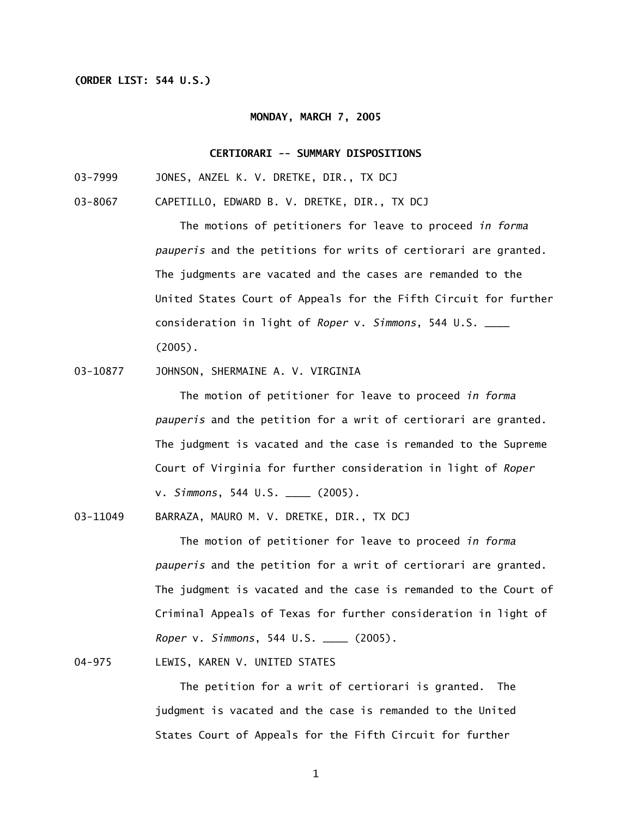### **(ORDER LIST: 544 U.S.)**

#### **MONDAY, MARCH 7, 2005**

### **CERTIORARI -- SUMMARY DISPOSITIONS**

- 03-7999 JONES, ANZEL K. V. DRETKE, DIR., TX DCJ
- 03-8067 CAPETILLO, EDWARD B. V. DRETKE, DIR., TX DCJ

 The motions of petitioners for leave to proceed *in forma pauperis* and the petitions for writs of certiorari are granted. The judgments are vacated and the cases are remanded to the United States Court of Appeals for the Fifth Circuit for further consideration in light of *Roper* v. *Simmons*, 544 U.S. \_\_\_\_ (2005).

03-10877 JOHNSON, SHERMAINE A. V. VIRGINIA

 The motion of petitioner for leave to proceed *in forma pauperis* and the petition for a writ of certiorari are granted. The judgment is vacated and the case is remanded to the Supreme Court of Virginia for further consideration in light of *Roper*  v. *Simmons*, 544 U.S. \_\_\_\_ (2005).

03-11049 BARRAZA, MAURO M. V. DRETKE, DIR., TX DCJ

 The motion of petitioner for leave to proceed *in forma pauperis* and the petition for a writ of certiorari are granted. The judgment is vacated and the case is remanded to the Court of Criminal Appeals of Texas for further consideration in light of *Roper* v. *Simmons*, 544 U.S. \_\_\_\_ (2005).

04-975 LEWIS, KAREN V. UNITED STATES

 The petition for a writ of certiorari is granted. The judgment is vacated and the case is remanded to the United States Court of Appeals for the Fifth Circuit for further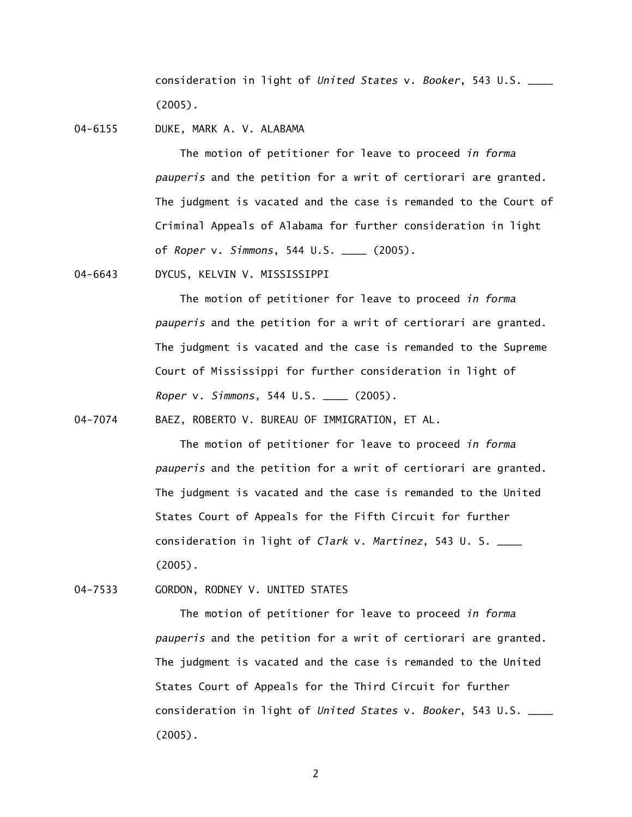consideration in light of *United States* v. *Booker*, 543 U.S. \_\_\_\_ (2005).

04-6155 DUKE, MARK A. V. ALABAMA

 The motion of petitioner for leave to proceed *in forma pauperis* and the petition for a writ of certiorari are granted. The judgment is vacated and the case is remanded to the Court of Criminal Appeals of Alabama for further consideration in light of *Roper* v. *Simmons*, 544 U.S. \_\_\_\_ (2005).

04-6643 DYCUS, KELVIN V. MISSISSIPPI

 The motion of petitioner for leave to proceed *in forma pauperis* and the petition for a writ of certiorari are granted. The judgment is vacated and the case is remanded to the Supreme Court of Mississippi for further consideration in light of *Roper* v. *Simmons*, 544 U.S. \_\_\_\_ (2005).

04-7074 BAEZ, ROBERTO V. BUREAU OF IMMIGRATION, ET AL.

 The motion of petitioner for leave to proceed *in forma pauperis* and the petition for a writ of certiorari are granted. The judgment is vacated and the case is remanded to the United States Court of Appeals for the Fifth Circuit for further consideration in light of *Clark* v. *Martinez*, 543 U. S. \_\_\_\_ (2005).

04-7533 GORDON, RODNEY V. UNITED STATES

 The motion of petitioner for leave to proceed *in forma pauperis* and the petition for a writ of certiorari are granted. The judgment is vacated and the case is remanded to the United States Court of Appeals for the Third Circuit for further consideration in light of *United States* v. *Booker*, 543 U.S. \_\_\_\_ (2005).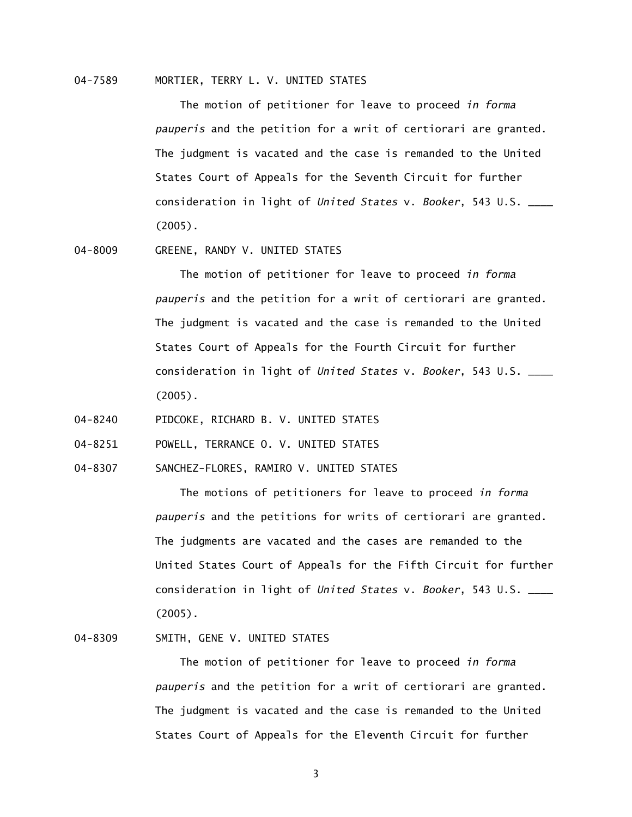## 04-7589 MORTIER, TERRY L. V. UNITED STATES

 The motion of petitioner for leave to proceed *in forma pauperis* and the petition for a writ of certiorari are granted. The judgment is vacated and the case is remanded to the United States Court of Appeals for the Seventh Circuit for further consideration in light of *United States* v. *Booker*, 543 U.S. \_\_\_\_ (2005).

04-8009 GREENE, RANDY V. UNITED STATES

 The motion of petitioner for leave to proceed *in forma pauperis* and the petition for a writ of certiorari are granted. The judgment is vacated and the case is remanded to the United States Court of Appeals for the Fourth Circuit for further consideration in light of *United States* v. *Booker*, 543 U.S. \_\_\_\_ (2005).

- 04-8240 PIDCOKE, RICHARD B. V. UNITED STATES
- 04-8251 POWELL, TERRANCE O. V. UNITED STATES
- 04-8307 SANCHEZ-FLORES, RAMIRO V. UNITED STATES

 The motions of petitioners for leave to proceed *in forma pauperis* and the petitions for writs of certiorari are granted. The judgments are vacated and the cases are remanded to the United States Court of Appeals for the Fifth Circuit for further consideration in light of *United States* v. *Booker*, 543 U.S. \_\_\_\_ (2005).

# 04-8309 SMITH, GENE V. UNITED STATES

 The motion of petitioner for leave to proceed *in forma pauperis* and the petition for a writ of certiorari are granted. The judgment is vacated and the case is remanded to the United States Court of Appeals for the Eleventh Circuit for further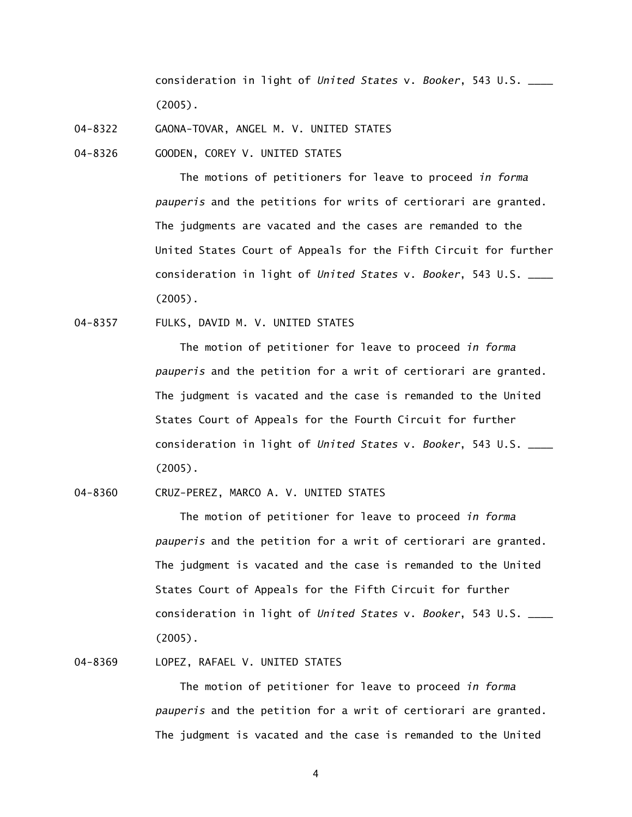consideration in light of *United States* v. *Booker*, 543 U.S. \_\_\_\_ (2005).

04-8322 GAONA-TOVAR, ANGEL M. V. UNITED STATES

04-8326 GOODEN, COREY V. UNITED STATES

 The motions of petitioners for leave to proceed *in forma pauperis* and the petitions for writs of certiorari are granted. The judgments are vacated and the cases are remanded to the United States Court of Appeals for the Fifth Circuit for further consideration in light of *United States* v. *Booker*, 543 U.S. \_\_\_\_ (2005).

04-8357 FULKS, DAVID M. V. UNITED STATES

 The motion of petitioner for leave to proceed *in forma pauperis* and the petition for a writ of certiorari are granted. The judgment is vacated and the case is remanded to the United States Court of Appeals for the Fourth Circuit for further consideration in light of *United States* v. *Booker*, 543 U.S. \_\_\_\_ (2005).

04-8360 CRUZ-PEREZ, MARCO A. V. UNITED STATES

 The motion of petitioner for leave to proceed *in forma pauperis* and the petition for a writ of certiorari are granted. The judgment is vacated and the case is remanded to the United States Court of Appeals for the Fifth Circuit for further consideration in light of *United States* v. *Booker*, 543 U.S. \_\_\_\_ (2005).

## 04-8369 LOPEZ, RAFAEL V. UNITED STATES

 The motion of petitioner for leave to proceed *in forma pauperis* and the petition for a writ of certiorari are granted. The judgment is vacated and the case is remanded to the United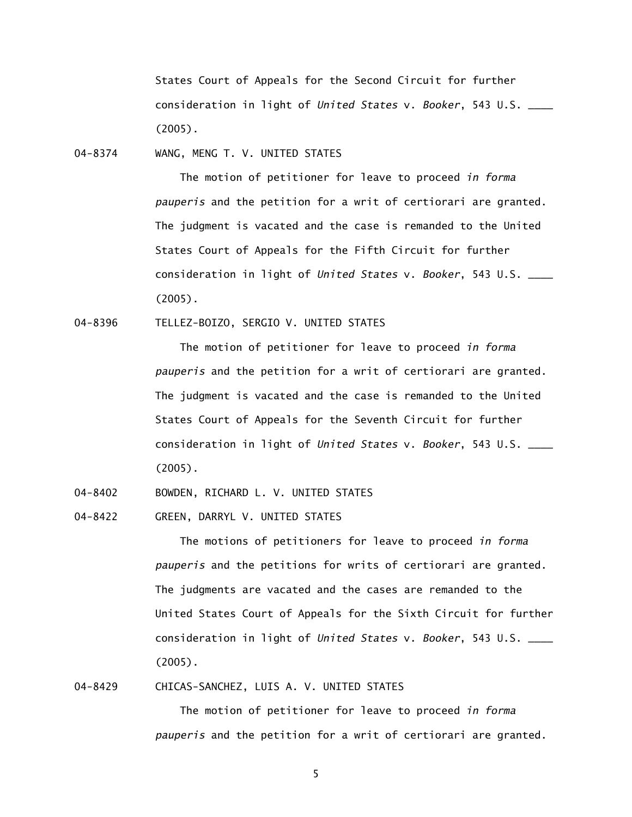States Court of Appeals for the Second Circuit for further consideration in light of *United States* v. *Booker*, 543 U.S. \_\_\_\_ (2005).

04-8374 WANG, MENG T. V. UNITED STATES

 The motion of petitioner for leave to proceed *in forma pauperis* and the petition for a writ of certiorari are granted. The judgment is vacated and the case is remanded to the United States Court of Appeals for the Fifth Circuit for further consideration in light of *United States* v. *Booker*, 543 U.S. \_\_\_\_ (2005).

04-8396 TELLEZ-BOIZO, SERGIO V. UNITED STATES

 The motion of petitioner for leave to proceed *in forma pauperis* and the petition for a writ of certiorari are granted. The judgment is vacated and the case is remanded to the United States Court of Appeals for the Seventh Circuit for further consideration in light of *United States* v. *Booker*, 543 U.S. \_\_\_\_ (2005).

04-8402 BOWDEN, RICHARD L. V. UNITED STATES

04-8422 GREEN, DARRYL V. UNITED STATES

 The motions of petitioners for leave to proceed *in forma pauperis* and the petitions for writs of certiorari are granted. The judgments are vacated and the cases are remanded to the United States Court of Appeals for the Sixth Circuit for further consideration in light of *United States* v. *Booker*, 543 U.S. \_\_\_\_ (2005).

04-8429 CHICAS-SANCHEZ, LUIS A. V. UNITED STATES

 The motion of petitioner for leave to proceed *in forma pauperis* and the petition for a writ of certiorari are granted.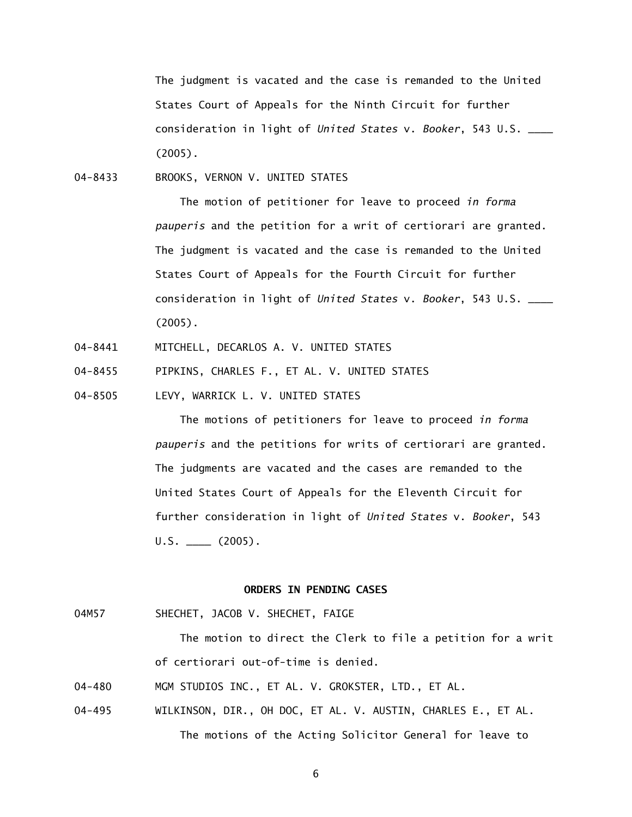The judgment is vacated and the case is remanded to the United States Court of Appeals for the Ninth Circuit for further consideration in light of *United States* v. *Booker*, 543 U.S. \_\_\_\_ (2005).

04-8433 BROOKS, VERNON V. UNITED STATES

 The motion of petitioner for leave to proceed *in forma pauperis* and the petition for a writ of certiorari are granted. The judgment is vacated and the case is remanded to the United States Court of Appeals for the Fourth Circuit for further consideration in light of *United States* v. *Booker*, 543 U.S. \_\_\_\_ (2005).

- 04-8441 MITCHELL, DECARLOS A. V. UNITED STATES
- 04-8455 PIPKINS, CHARLES F., ET AL. V. UNITED STATES
- 04-8505 LEVY, WARRICK L. V. UNITED STATES

 The motions of petitioners for leave to proceed *in forma pauperis* and the petitions for writs of certiorari are granted. The judgments are vacated and the cases are remanded to the United States Court of Appeals for the Eleventh Circuit for further consideration in light of *United States* v. *Booker*, 543  $U.S.$   $(2005)$ .

#### **ORDERS IN PENDING CASES**

04M57 SHECHET, JACOB V. SHECHET, FAIGE

The motion to direct the Clerk to file a petition for a writ of certiorari out-of-time is denied.

- 04-480 MGM STUDIOS INC., ET AL. V. GROKSTER, LTD., ET AL.
- 04-495 WILKINSON, DIR., OH DOC, ET AL. V. AUSTIN, CHARLES E., ET AL. The motions of the Acting Solicitor General for leave to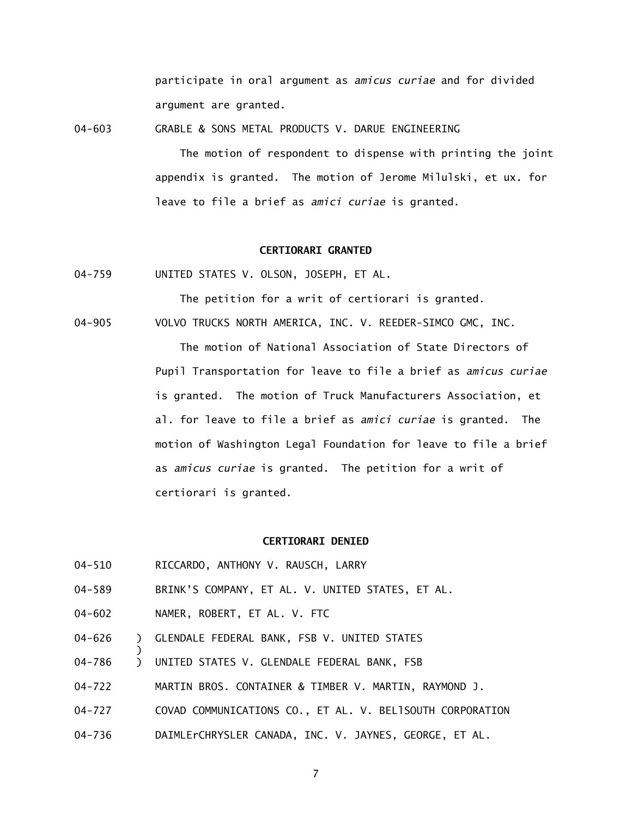participate in oral argument as *amicus curiae* and for divided argument are granted.

04-603 GRABLE & SONS METAL PRODUCTS V. DARUE ENGINEERING

 The motion of respondent to dispense with printing the joint appendix is granted. The motion of Jerome Milulski, et ux. for leave to file a brief as *amici curiae* is granted.

### **CERTIORARI GRANTED**

04-759 UNITED STATES V. OLSON, JOSEPH, ET AL.

The petition for a writ of certiorari is granted.

04-905 VOLVO TRUCKS NORTH AMERICA, INC. V. REEDER-SIMCO GMC, INC.

The motion of National Association of State Directors of Pupil Transportation for leave to file a brief as *amicus curiae*  is granted. The motion of Truck Manufacturers Association, et al. for leave to file a brief as *amici curiae* is granted. The motion of Washington Legal Foundation for leave to file a brief as *amicus curiae* is granted. The petition for a writ of certiorari is granted.

#### **CERTIORARI DENIED**

- 04-510 RICCARDO, ANTHONY V. RAUSCH, LARRY
- 04-589 BRINK'S COMPANY, ET AL. V. UNITED STATES, ET AL.
- 04-602 NAMER, ROBERT, ET AL. V. FTC

)

- 04-626 ) GLENDALE FEDERAL BANK, FSB V. UNITED STATES
- 04-786 ) UNITED STATES V. GLENDALE FEDERAL BANK, FSB
- 04-722 MARTIN BROS. CONTAINER & TIMBER V. MARTIN, RAYMOND J.
- 04-727 COVAD COMMUNICATIONS CO., ET AL. V. BELlSOUTH CORPORATION
- 04-736 DAIMLErCHRYSLER CANADA, INC. V. JAYNES, GEORGE, ET AL.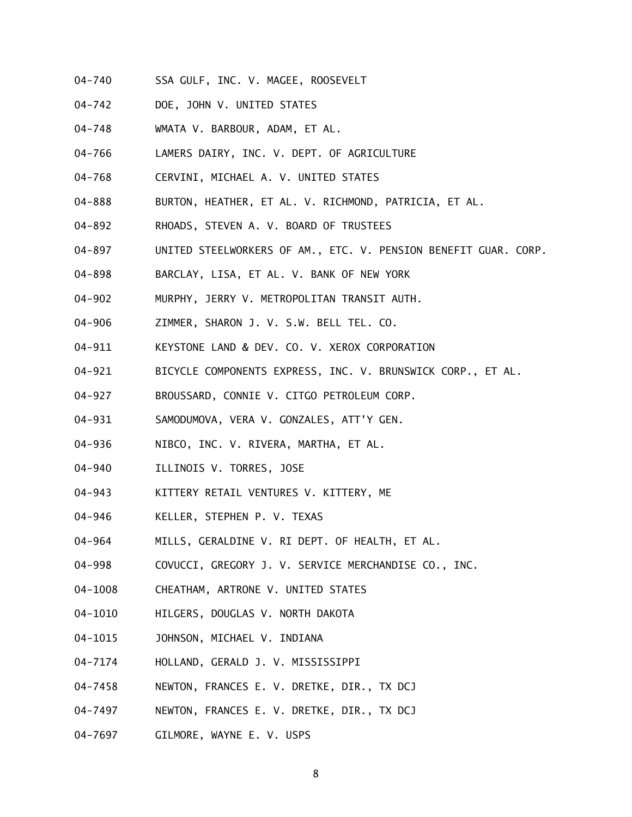- 04-740 SSA GULF, INC. V. MAGEE, ROOSEVELT
- 04-742 DOE, JOHN V. UNITED STATES
- 04-748 WMATA V. BARBOUR, ADAM, ET AL.
- 04-766 LAMERS DAIRY, INC. V. DEPT. OF AGRICULTURE
- 04-768 CERVINI, MICHAEL A. V. UNITED STATES
- 04-888 BURTON, HEATHER, ET AL. V. RICHMOND, PATRICIA, ET AL.
- 04-892 RHOADS, STEVEN A. V. BOARD OF TRUSTEES
- 04-897 UNITED STEELWORKERS OF AM., ETC. V. PENSION BENEFIT GUAR. CORP.
- 04-898 BARCLAY, LISA, ET AL. V. BANK OF NEW YORK
- 04-902 MURPHY, JERRY V. METROPOLITAN TRANSIT AUTH.
- 04-906 ZIMMER, SHARON J. V. S.W. BELL TEL. CO.
- 04-911 KEYSTONE LAND & DEV. CO. V. XEROX CORPORATION
- 04-921 BICYCLE COMPONENTS EXPRESS, INC. V. BRUNSWICK CORP., ET AL.
- 04-927 BROUSSARD, CONNIE V. CITGO PETROLEUM CORP.
- 04-931 SAMODUMOVA, VERA V. GONZALES, ATT'Y GEN.
- 04-936 NIBCO, INC. V. RIVERA, MARTHA, ET AL.
- 04-940 ILLINOIS V. TORRES, JOSE
- 04-943 KITTERY RETAIL VENTURES V. KITTERY, ME
- 04-946 KELLER, STEPHEN P. V. TEXAS
- 04-964 MILLS, GERALDINE V. RI DEPT. OF HEALTH, ET AL.
- 04-998 COVUCCI, GREGORY J. V. SERVICE MERCHANDISE CO., INC.
- 04-1008 CHEATHAM, ARTRONE V. UNITED STATES
- 04-1010 HILGERS, DOUGLAS V. NORTH DAKOTA
- 04-1015 JOHNSON, MICHAEL V. INDIANA
- 04-7174 HOLLAND, GERALD J. V. MISSISSIPPI
- 04-7458 NEWTON, FRANCES E. V. DRETKE, DIR., TX DCJ
- 04-7497 NEWTON, FRANCES E. V. DRETKE, DIR., TX DCJ
- 04-7697 GILMORE, WAYNE E. V. USPS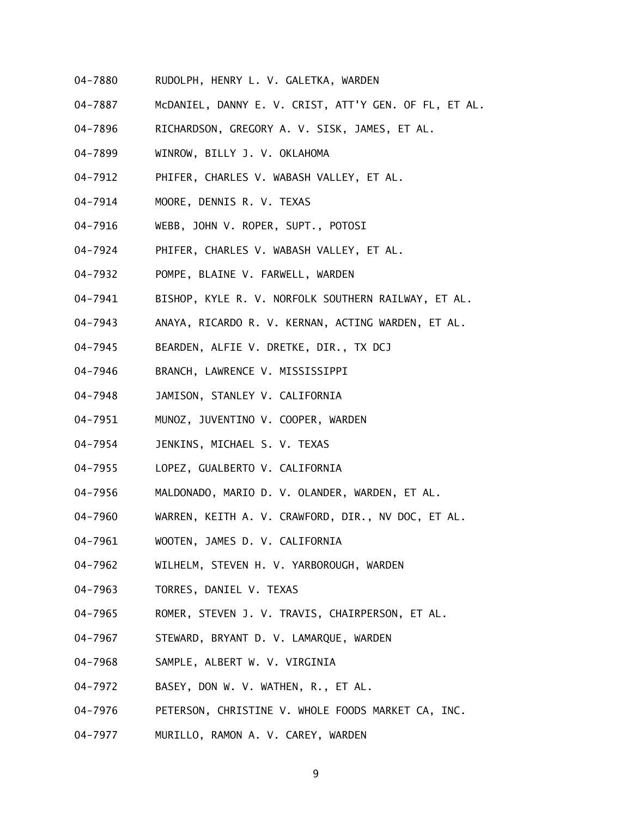- 04-7880 RUDOLPH, HENRY L. V. GALETKA, WARDEN
- 04-7887 McDANIEL, DANNY E. V. CRIST, ATT'Y GEN. OF FL, ET AL.
- 04-7896 RICHARDSON, GREGORY A. V. SISK, JAMES, ET AL.
- 04-7899 WINROW, BILLY J. V. OKLAHOMA
- 04-7912 PHIFER, CHARLES V. WABASH VALLEY, ET AL.
- 04-7914 MOORE, DENNIS R. V. TEXAS
- 04-7916 WEBB, JOHN V. ROPER, SUPT., POTOSI
- 04-7924 PHIFER, CHARLES V. WABASH VALLEY, ET AL.
- 04-7932 POMPE, BLAINE V. FARWELL, WARDEN
- 04-7941 BISHOP, KYLE R. V. NORFOLK SOUTHERN RAILWAY, ET AL.
- 04-7943 ANAYA, RICARDO R. V. KERNAN, ACTING WARDEN, ET AL.
- 04-7945 BEARDEN, ALFIE V. DRETKE, DIR., TX DCJ
- 04-7946 BRANCH, LAWRENCE V. MISSISSIPPI
- 04-7948 JAMISON, STANLEY V. CALIFORNIA
- 04-7951 MUNOZ, JUVENTINO V. COOPER, WARDEN
- 04-7954 JENKINS, MICHAEL S. V. TEXAS
- 04-7955 LOPEZ, GUALBERTO V. CALIFORNIA
- 04-7956 MALDONADO, MARIO D. V. OLANDER, WARDEN, ET AL.
- 04-7960 WARREN, KEITH A. V. CRAWFORD, DIR., NV DOC, ET AL.
- 04-7961 WOOTEN, JAMES D. V. CALIFORNIA
- 04-7962 WILHELM, STEVEN H. V. YARBOROUGH, WARDEN
- 04-7963 TORRES, DANIEL V. TEXAS
- 04-7965 ROMER, STEVEN J. V. TRAVIS, CHAIRPERSON, ET AL.
- 04-7967 STEWARD, BRYANT D. V. LAMARQUE, WARDEN
- 04-7968 SAMPLE, ALBERT W. V. VIRGINIA
- 04-7972 BASEY, DON W. V. WATHEN, R., ET AL.
- 04-7976 PETERSON, CHRISTINE V. WHOLE FOODS MARKET CA, INC.
- 04-7977 MURILLO, RAMON A. V. CAREY, WARDEN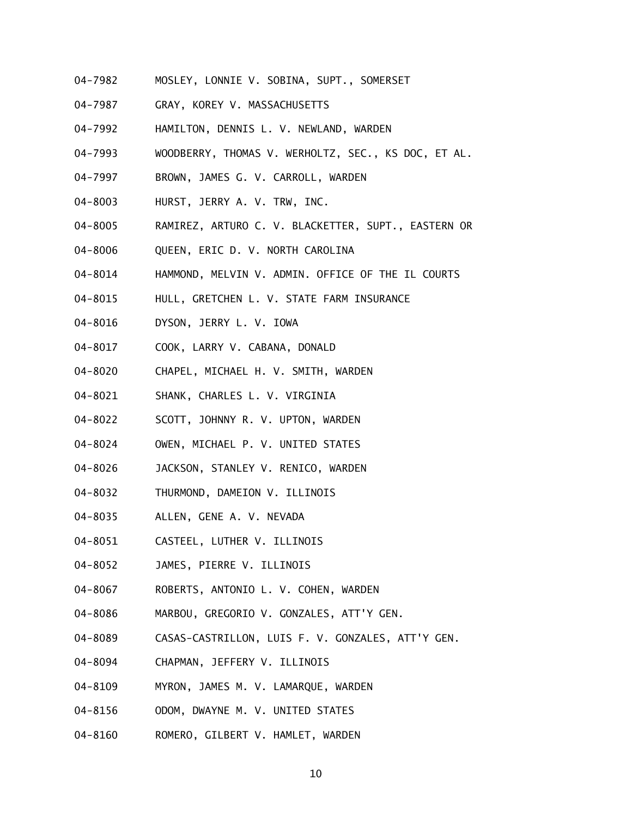- 04-7982 MOSLEY, LONNIE V. SOBINA, SUPT., SOMERSET
- 04-7987 GRAY, KOREY V. MASSACHUSETTS
- 04-7992 HAMILTON, DENNIS L. V. NEWLAND, WARDEN
- 04-7993 WOODBERRY, THOMAS V. WERHOLTZ, SEC., KS DOC, ET AL.
- 04-7997 BROWN, JAMES G. V. CARROLL, WARDEN
- 04-8003 HURST, JERRY A. V. TRW, INC.
- 04-8005 RAMIREZ, ARTURO C. V. BLACKETTER, SUPT., EASTERN OR
- 04-8006 QUEEN, ERIC D. V. NORTH CAROLINA
- 04-8014 HAMMOND, MELVIN V. ADMIN. OFFICE OF THE IL COURTS
- 04-8015 HULL, GRETCHEN L. V. STATE FARM INSURANCE
- 04-8016 DYSON, JERRY L. V. IOWA
- 04-8017 COOK, LARRY V. CABANA, DONALD
- 04-8020 CHAPEL, MICHAEL H. V. SMITH, WARDEN
- 04-8021 SHANK, CHARLES L. V. VIRGINIA
- 04-8022 SCOTT, JOHNNY R. V. UPTON, WARDEN
- 04-8024 OWEN, MICHAEL P. V. UNITED STATES
- 04-8026 JACKSON, STANLEY V. RENICO, WARDEN
- 04-8032 THURMOND, DAMEION V. ILLINOIS
- 04-8035 ALLEN, GENE A. V. NEVADA
- 04-8051 CASTEEL, LUTHER V. ILLINOIS
- 04-8052 JAMES, PIERRE V. ILLINOIS
- 04-8067 ROBERTS, ANTONIO L. V. COHEN, WARDEN
- 04-8086 MARBOU, GREGORIO V. GONZALES, ATT'Y GEN.
- 04-8089 CASAS-CASTRILLON, LUIS F. V. GONZALES, ATT'Y GEN.
- 04-8094 CHAPMAN, JEFFERY V. ILLINOIS
- 04-8109 MYRON, JAMES M. V. LAMARQUE, WARDEN
- 04-8156 ODOM, DWAYNE M. V. UNITED STATES
- 04-8160 ROMERO, GILBERT V. HAMLET, WARDEN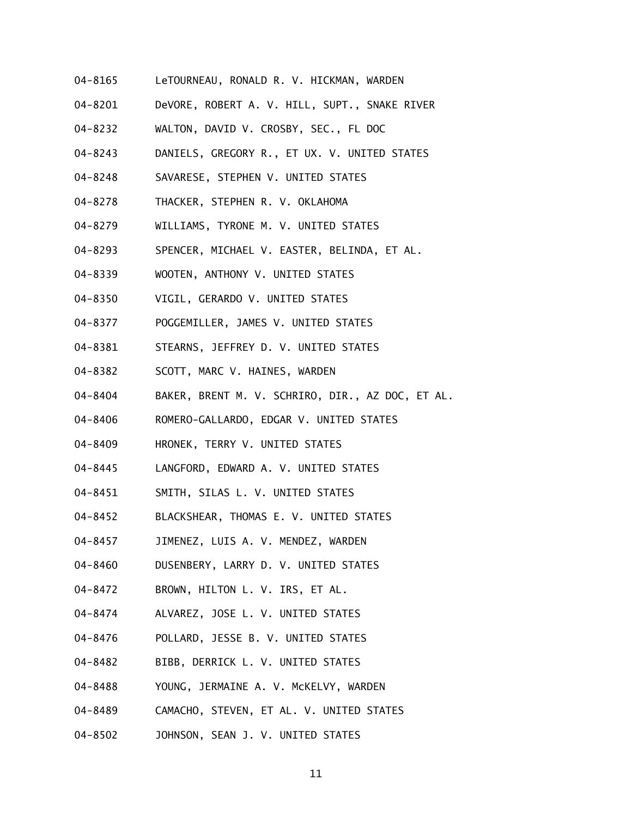- 04-8165 LeTOURNEAU, RONALD R. V. HICKMAN, WARDEN
- 04-8201 DeVORE, ROBERT A. V. HILL, SUPT., SNAKE RIVER
- 04-8232 WALTON, DAVID V. CROSBY, SEC., FL DOC
- 04-8243 DANIELS, GREGORY R., ET UX. V. UNITED STATES
- 04-8248 SAVARESE, STEPHEN V. UNITED STATES
- 04-8278 THACKER, STEPHEN R. V. OKLAHOMA
- 04-8279 WILLIAMS, TYRONE M. V. UNITED STATES
- 04-8293 SPENCER, MICHAEL V. EASTER, BELINDA, ET AL.
- 04-8339 WOOTEN, ANTHONY V. UNITED STATES
- 04-8350 VIGIL, GERARDO V. UNITED STATES
- 04-8377 POGGEMILLER, JAMES V. UNITED STATES
- 04-8381 STEARNS, JEFFREY D. V. UNITED STATES
- 04-8382 SCOTT, MARC V. HAINES, WARDEN
- 04-8404 BAKER, BRENT M. V. SCHRIRO, DIR., AZ DOC, ET AL.
- 04-8406 ROMERO-GALLARDO, EDGAR V. UNITED STATES
- 04-8409 HRONEK, TERRY V. UNITED STATES
- 04-8445 LANGFORD, EDWARD A. V. UNITED STATES
- 04-8451 SMITH, SILAS L. V. UNITED STATES
- 04-8452 BLACKSHEAR, THOMAS E. V. UNITED STATES
- 04-8457 JIMENEZ, LUIS A. V. MENDEZ, WARDEN
- 04-8460 DUSENBERY, LARRY D. V. UNITED STATES
- 04-8472 BROWN, HILTON L. V. IRS, ET AL.
- 04-8474 ALVAREZ, JOSE L. V. UNITED STATES
- 04-8476 POLLARD, JESSE B. V. UNITED STATES
- 04-8482 BIBB, DERRICK L. V. UNITED STATES
- 04-8488 YOUNG, JERMAINE A. V. McKELVY, WARDEN
- 04-8489 CAMACHO, STEVEN, ET AL. V. UNITED STATES
- 04-8502 JOHNSON, SEAN J. V. UNITED STATES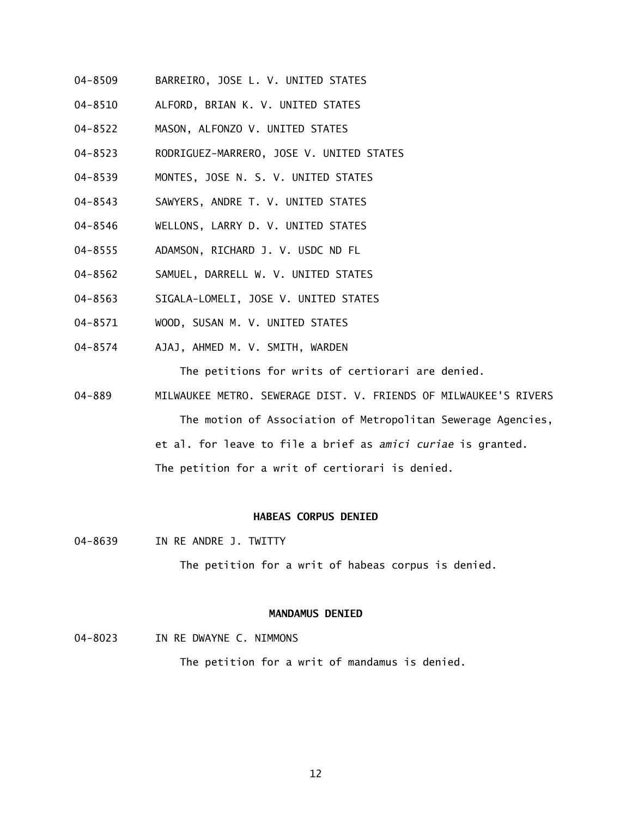- 04-8509 BARREIRO, JOSE L. V. UNITED STATES
- 04-8510 ALFORD, BRIAN K. V. UNITED STATES
- 04-8522 MASON, ALFONZO V. UNITED STATES
- 04-8523 RODRIGUEZ-MARRERO, JOSE V. UNITED STATES
- 04-8539 MONTES, JOSE N. S. V. UNITED STATES
- 04-8543 SAWYERS, ANDRE T. V. UNITED STATES
- 04-8546 WELLONS, LARRY D. V. UNITED STATES
- 04-8555 ADAMSON, RICHARD J. V. USDC ND FL
- 04-8562 SAMUEL, DARRELL W. V. UNITED STATES
- 04-8563 SIGALA-LOMELI, JOSE V. UNITED STATES
- 04-8571 WOOD, SUSAN M. V. UNITED STATES
- 04-8574 AJAJ, AHMED M. V. SMITH, WARDEN

The petitions for writs of certiorari are denied.

04-889 MILWAUKEE METRO. SEWERAGE DIST. V. FRIENDS OF MILWAUKEE'S RIVERS

The motion of Association of Metropolitan Sewerage Agencies,

et al. for leave to file a brief as *amici curiae* is granted.

The petition for a writ of certiorari is denied.

## **HABEAS CORPUS DENIED**

04-8639 IN RE ANDRE J. TWITTY

The petition for a writ of habeas corpus is denied.

#### **MANDAMUS DENIED**

04-8023 IN RE DWAYNE C. NIMMONS

The petition for a writ of mandamus is denied.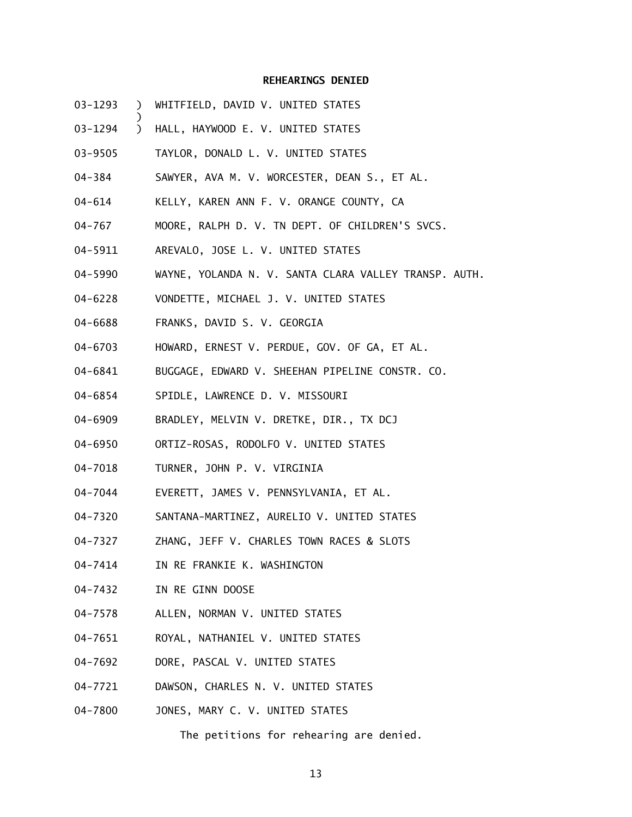#### **REHEARINGS DENIED**

- 03-1293 ) WHITFIELD, DAVID V. UNITED STATES
- 03-1294 ) HALL, HAYWOOD E. V. UNITED STATES

)

- 03-9505 TAYLOR, DONALD L. V. UNITED STATES
- 04-384 SAWYER, AVA M. V. WORCESTER, DEAN S., ET AL.
- 04-614 KELLY, KAREN ANN F. V. ORANGE COUNTY, CA
- 04-767 MOORE, RALPH D. V. TN DEPT. OF CHILDREN'S SVCS.
- 04-5911 AREVALO, JOSE L. V. UNITED STATES
- 04-5990 WAYNE, YOLANDA N. V. SANTA CLARA VALLEY TRANSP. AUTH.
- 04-6228 VONDETTE, MICHAEL J. V. UNITED STATES
- 04-6688 FRANKS, DAVID S. V. GEORGIA
- 04-6703 HOWARD, ERNEST V. PERDUE, GOV. OF GA, ET AL.
- 04-6841 BUGGAGE, EDWARD V. SHEEHAN PIPELINE CONSTR. CO.
- 04-6854 SPIDLE, LAWRENCE D. V. MISSOURI
- 04-6909 BRADLEY, MELVIN V. DRETKE, DIR., TX DCJ
- 04-6950 ORTIZ-ROSAS, RODOLFO V. UNITED STATES
- 04-7018 TURNER, JOHN P. V. VIRGINIA
- 04-7044 EVERETT, JAMES V. PENNSYLVANIA, ET AL.
- 04-7320 SANTANA-MARTINEZ, AURELIO V. UNITED STATES
- 04-7327 ZHANG, JEFF V. CHARLES TOWN RACES & SLOTS
- 04-7414 IN RE FRANKIE K. WASHINGTON
- 04-7432 IN RE GINN DOOSE
- 04-7578 ALLEN, NORMAN V. UNITED STATES
- 04-7651 ROYAL, NATHANIEL V. UNITED STATES
- 04-7692 DORE, PASCAL V. UNITED STATES
- 04-7721 DAWSON, CHARLES N. V. UNITED STATES
- 04-7800 JONES, MARY C. V. UNITED STATES

The petitions for rehearing are denied.